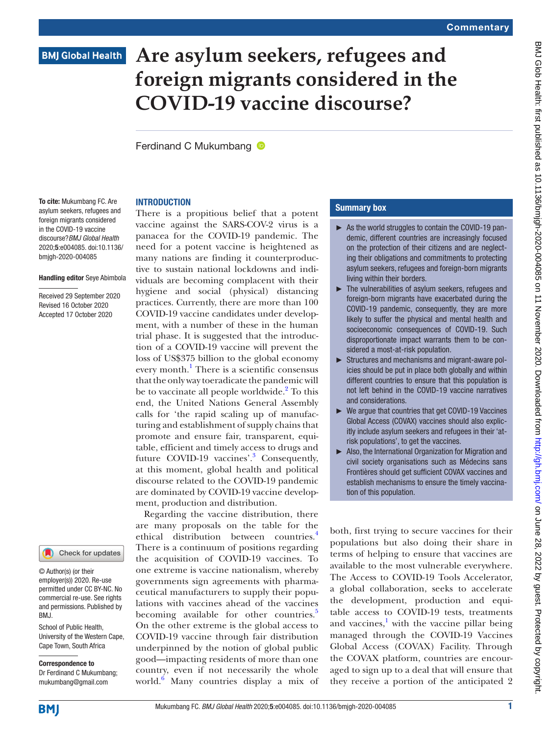# **BMJ Global Health**

# **Are asylum seekers, refugees and foreign migrants considered in the COVID-19 vaccine discourse?**

Ferdinand C Mukumbang **D** 

### **INTRODUCTION**

To cite: Mukumbang FC. Are asylum seekers, refugees and foreign migrants considered in the COVID-19 vaccine discourse?*BMJ Global Health* 2020;5:e004085. doi:10.1136/ bmjgh-2020-004085

#### Handling editor Seye Abimbola

Received 29 September 2020 Revised 16 October 2020 Accepted 17 October 2020

### Check for updates

© Author(s) (or their employer(s)) 2020. Re-use permitted under CC BY-NC. No commercial re-use. See rights and permissions. Published by BMJ.

School of Public Health, University of the Western Cape, Cape Town, South Africa

#### Correspondence to

Dr Ferdinand C Mukumbang; mukumbang@gmail.com

There is a propitious belief that a potent vaccine against the SARS-COV-2 virus is a panacea for the COVID-19 pandemic. The need for a potent vaccine is heightened as many nations are finding it counterproductive to sustain national lockdowns and individuals are becoming complacent with their hygiene and social (physical) distancing practices. Currently, there are more than 100 COVID-19 vaccine candidates under development, with a number of these in the human trial phase. It is suggested that the introduction of a COVID-19 vaccine will prevent the loss of US\$375 billion to the global economy every month.<sup>1</sup> There is a scientific consensus that the only way toeradicate the pandemic will be to vaccinate all people worldwide.<sup>[2](#page-3-1)</sup> To this end, the United Nations General Assembly calls for 'the rapid scaling up of manufacturing and establishment of supply chains that promote and ensure fair, transparent, equitable, efficient and timely access to drugs and future COVID-19 vaccines'.<sup>3</sup> Consequently, at this moment, global health and political discourse related to the COVID-19 pandemic are dominated by COVID-19 vaccine development, production and distribution.

Regarding the vaccine distribution, there are many proposals on the table for the ethical distribution between countries.<sup>[4](#page-3-3)</sup> There is a continuum of positions regarding the acquisition of COVID-19 vaccines. To one extreme is vaccine nationalism, whereby governments sign agreements with pharmaceutical manufacturers to supply their populations with vaccines ahead of the vaccines becoming available for other countries.<sup>[5](#page-3-4)</sup> On the other extreme is the global access to COVID-19 vaccine through fair distribution underpinned by the notion of global public good—impacting residents of more than one country, even if not necessarily the whole world.[6](#page-3-5) Many countries display a mix of

### Summary box

- ► As the world struggles to contain the COVID-19 pandemic, different countries are increasingly focused on the protection of their citizens and are neglecting their obligations and commitments to protecting asylum seekers, refugees and foreign-born migrants living within their borders.
- ► The vulnerabilities of asylum seekers, refugees and foreign-born migrants have exacerbated during the COVID-19 pandemic, consequently, they are more likely to suffer the physical and mental health and socioeconomic consequences of COVID-19. Such disproportionate impact warrants them to be considered a most-at-risk population.
- ► Structures and mechanisms and migrant-aware policies should be put in place both globally and within different countries to ensure that this population is not left behind in the COVID-19 vaccine narratives and considerations.
- We argue that countries that get COVID-19 Vaccines Global Access (COVAX) vaccines should also explicitly include asylum seekers and refugees in their 'atrisk populations', to get the vaccines.
- ► Also, the International Organization for Migration and civil society organisations such as Médecins sans Frontières should get sufficient COVAX vaccines and establish mechanisms to ensure the timely vaccination of this population.

both, first trying to secure vaccines for their populations but also doing their share in terms of helping to ensure that vaccines are available to the most vulnerable everywhere. The Access to COVID-19 Tools Accelerator, a global collaboration, seeks to accelerate the development, production and equitable access to COVID-19 tests, treatments and vaccines, $\frac{1}{2}$  $\frac{1}{2}$  $\frac{1}{2}$  with the vaccine pillar being managed through the COVID-19 Vaccines Global Access (COVAX) Facility. Through the COVAX platform, countries are encouraged to sign up to a deal that will ensure that they receive a portion of the anticipated 2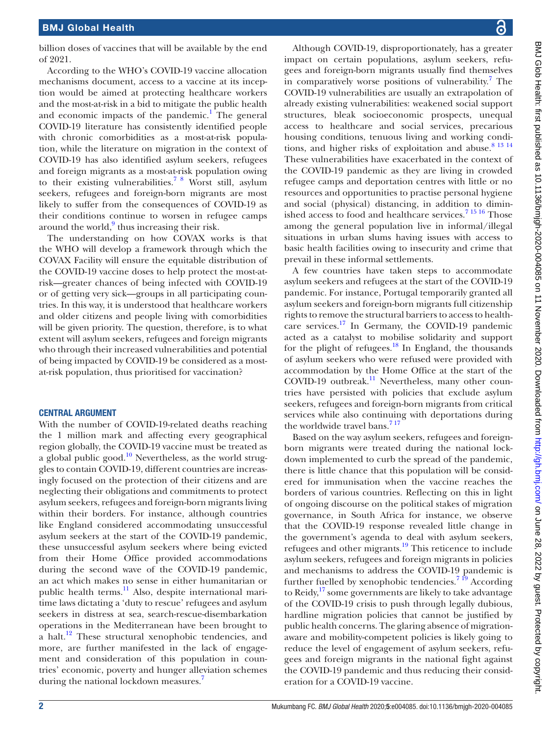billion doses of vaccines that will be available by the end of 2021.

According to the WHO's COVID-19 vaccine allocation mechanisms document, access to a vaccine at its inception would be aimed at protecting healthcare workers and the most-at-risk in a bid to mitigate the public health and economic impacts of the pandemic.<sup>[1](#page-3-0)</sup> The general COVID-19 literature has consistently identified people with chronic comorbidities as a most-at-risk population, while the literature on migration in the context of COVID-19 has also identified asylum seekers, refugees and foreign migrants as a most-at-risk population owing to their existing vulnerabilities[.7 8](#page-3-6) Worst still, asylum seekers, refugees and foreign-born migrants are most likely to suffer from the consequences of COVID-19 as their conditions continue to worsen in refugee camps around the world, $9$  thus increasing their risk.

The understanding on how COVAX works is that the WHO will develop a framework through which the COVAX Facility will ensure the equitable distribution of the COVID-19 vaccine doses to help protect the most-atrisk—greater chances of being infected with COVID-19 or of getting very sick—groups in all participating countries. In this way, it is understood that healthcare workers and older citizens and people living with comorbidities will be given priority. The question, therefore, is to what extent will asylum seekers, refugees and foreign migrants who through their increased vulnerabilities and potential of being impacted by COVID-19 be considered as a mostat-risk population, thus prioritised for vaccination?

## CENTRAL ARGUMENT

With the number of COVID-19-related deaths reaching the 1 million mark and affecting every geographical region globally, the COVID-19 vaccine must be treated as a global public good. $10^{\circ}$  Nevertheless, as the world struggles to contain COVID-19, different countries are increasingly focused on the protection of their citizens and are neglecting their obligations and commitments to protect asylum seekers, refugees and foreign-born migrants living within their borders. For instance, although countries like England considered accommodating unsuccessful asylum seekers at the start of the COVID-19 pandemic, these unsuccessful asylum seekers where being evicted from their Home Office provided accommodations during the second wave of the COVID-19 pandemic, an act which makes no sense in either humanitarian or public health terms.<sup>11</sup> Also, despite international maritime laws dictating a 'duty to rescue' refugees and asylum seekers in distress at sea, search-rescue-disembarkation operations in the Mediterranean have been brought to a halt[.12](#page-3-10) These structural xenophobic tendencies, and more, are further manifested in the lack of engagement and consideration of this population in countries' economic, poverty and hunger alleviation schemes during the national lockdown measures.<sup>7</sup>

Although COVID-19, disproportionately, has a greater impact on certain populations, asylum seekers, refugees and foreign-born migrants usually find themselves in comparatively worse positions of vulnerability.<sup>[7](#page-3-6)</sup> The COVID-19 vulnerabilities are usually an extrapolation of already existing vulnerabilities: weakened social support structures, bleak socioeconomic prospects, unequal access to healthcare and social services, precarious housing conditions, tenuous living and working conditions, and higher risks of exploitation and abuse.<sup>8 13 14</sup> These vulnerabilities have exacerbated in the context of the COVID-19 pandemic as they are living in crowded refugee camps and deportation centres with little or no resources and opportunities to practise personal hygiene and social (physical) distancing, in addition to diminished access to food and healthcare services.<sup>71516</sup> Those among the general population live in informal/illegal situations in urban slums having issues with access to basic health facilities owing to insecurity and crime that prevail in these informal settlements.

A few countries have taken steps to accommodate asylum seekers and refugees at the start of the COVID-19 pandemic. For instance, Portugal temporarily granted all asylum seekers and foreign-born migrants full citizenship rights to remove the structural barriers to access to health-care services.<sup>[17](#page-3-12)</sup> In Germany, the COVID-19 pandemic acted as a catalyst to mobilise solidarity and support for the plight of refugees. $18$  In England, the thousands of asylum seekers who were refused were provided with accommodation by the Home Office at the start of the COVID-19 outbreak.<sup>[11](#page-3-9)</sup> Nevertheless, many other countries have persisted with policies that exclude asylum seekers, refugees and foreign-born migrants from critical services while also continuing with deportations during the worldwide travel bans.<sup>717</sup>

Based on the way asylum seekers, refugees and foreignborn migrants were treated during the national lockdown implemented to curb the spread of the pandemic, there is little chance that this population will be considered for immunisation when the vaccine reaches the borders of various countries. Reflecting on this in light of ongoing discourse on the political stakes of migration governance, in South Africa for instance, we observe that the COVID-19 response revealed little change in the government's agenda to deal with asylum seekers, refugees and other migrants.[19](#page-3-14) This reticence to include asylum seekers, refugees and foreign migrants in policies and mechanisms to address the COVID-19 pandemic is further fuelled by xenophobic tendencies.<sup>7 19</sup> According to Reidy,<sup>17</sup> some governments are likely to take advantage of the COVID-19 crisis to push through legally dubious, hardline migration policies that cannot be justified by public health concerns. The glaring absence of migrationaware and mobility-competent policies is likely going to reduce the level of engagement of asylum seekers, refugees and foreign migrants in the national fight against the COVID-19 pandemic and thus reducing their consideration for a COVID-19 vaccine.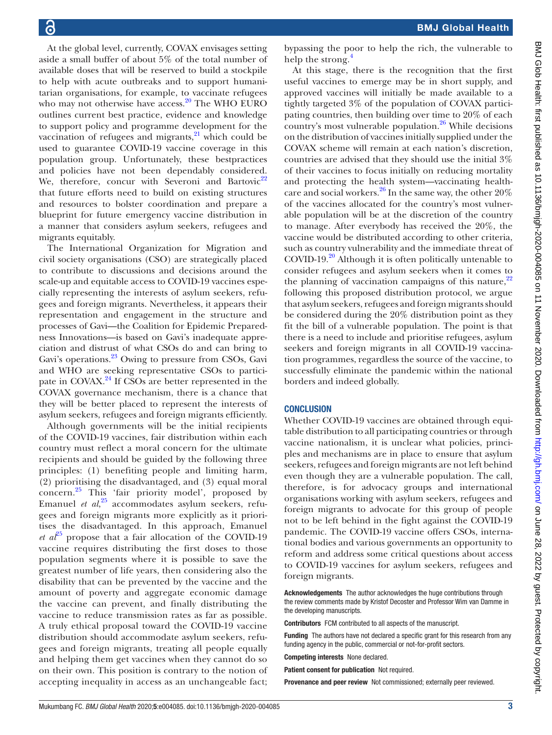BMJ Glob Health: first published as 10.1136/bmigh-2020-004085 on 11 November 2020. Downloaded from http://gh.bm/ com http://gh.bm/ on June 28, 2022 by guest. Protected by copyright. BMJ Glob Health: first published as 10.1136/bmjgh-2020-004085 on 11 November 2020. Downloaded from <http://gh.bmj.com/> on June 28, 2022 by guest. Protected by copyright.

At the global level, currently, COVAX envisages setting aside a small buffer of about 5% of the total number of available doses that will be reserved to build a stockpile to help with acute outbreaks and to support humanitarian organisations, for example, to vaccinate refugees who may not otherwise have access.<sup>20</sup> The WHO EURO outlines current best practice, evidence and knowledge to support policy and programme development for the vaccination of refugees and migrants, $^{21}$  which could be used to guarantee COVID-19 vaccine coverage in this population group. Unfortunately, these bestpractices and policies have not been dependably considered. We, therefore, concur with Severoni and Bartovic<sup>[22](#page-3-17)</sup> that future efforts need to build on existing structures and resources to bolster coordination and prepare a blueprint for future emergency vaccine distribution in a manner that considers asylum seekers, refugees and migrants equitably.

The International Organization for Migration and civil society organisations (CSO) are strategically placed to contribute to discussions and decisions around the scale-up and equitable access to COVID-19 vaccines especially representing the interests of asylum seekers, refugees and foreign migrants. Nevertheless, it appears their representation and engagement in the structure and processes of Gavi—the Coalition for Epidemic Preparedness Innovations—is based on Gavi's inadequate appreciation and distrust of what CSOs do and can bring to Gavi's operations.<sup>23</sup> Owing to pressure from CSOs, Gavi and WHO are seeking representative CSOs to participate in COVAX. $^{24}$  $^{24}$  $^{24}$  If CSOs are better represented in the COVAX governance mechanism, there is a chance that they will be better placed to represent the interests of asylum seekers, refugees and foreign migrants efficiently.

Although governments will be the initial recipients of the COVID-19 vaccines, fair distribution within each country must reflect a moral concern for the ultimate recipients and should be guided by the following three principles: (1) benefiting people and limiting harm, (2) prioritising the disadvantaged, and (3) equal moral concern.[25](#page-3-20) This 'fair priority model', proposed by Emanuel *et al*, [25](#page-3-20) accommodates asylum seekers, refugees and foreign migrants more explicitly as it prioritises the disadvantaged. In this approach, Emanuel *et*  $a^{25}$  $a^{25}$  $a^{25}$  propose that a fair allocation of the COVID-19 vaccine requires distributing the first doses to those population segments where it is possible to save the greatest number of life years, then considering also the disability that can be prevented by the vaccine and the amount of poverty and aggregate economic damage the vaccine can prevent, and finally distributing the vaccine to reduce transmission rates as far as possible. A truly ethical proposal toward the COVID-19 vaccine distribution should accommodate asylum seekers, refugees and foreign migrants, treating all people equally and helping them get vaccines when they cannot do so on their own. This position is contrary to the notion of accepting inequality in access as an unchangeable fact;

bypassing the poor to help the rich, the vulnerable to help the strong.<sup>[4](#page-3-3)</sup>

At this stage, there is the recognition that the first useful vaccines to emerge may be in short supply, and approved vaccines will initially be made available to a tightly targeted 3% of the population of COVAX participating countries, then building over time to 20% of each country's most vulnerable population. $26$  While decisions on the distribution of vaccines initially supplied under the COVAX scheme will remain at each nation's discretion, countries are advised that they should use the initial 3% of their vaccines to focus initially on reducing mortality and protecting the health system—vaccinating health-care and social workers.<sup>[26](#page-3-21)</sup> In the same way, the other  $20\%$ of the vaccines allocated for the country's most vulnerable population will be at the discretion of the country to manage. After everybody has received the 20%, the vaccine would be distributed according to other criteria, such as country vulnerability and the immediate threat of COVID-19. $^{20}$  Although it is often politically untenable to consider refugees and asylum seekers when it comes to the planning of vaccination campaigns of this nature, $2^2$ following this proposed distribution protocol, we argue that asylum seekers, refugees and foreign migrants should be considered during the 20% distribution point as they fit the bill of a vulnerable population. The point is that there is a need to include and prioritise refugees, asylum seekers and foreign migrants in all COVID-19 vaccination programmes, regardless the source of the vaccine, to successfully eliminate the pandemic within the national borders and indeed globally.

## **CONCLUSION**

Whether COVID-19 vaccines are obtained through equitable distribution to all participating countries or through vaccine nationalism, it is unclear what policies, principles and mechanisms are in place to ensure that asylum seekers, refugees and foreign migrants are not left behind even though they are a vulnerable population. The call, therefore, is for advocacy groups and international organisations working with asylum seekers, refugees and foreign migrants to advocate for this group of people not to be left behind in the fight against the COVID-19 pandemic. The COVID-19 vaccine offers CSOs, international bodies and various governments an opportunity to reform and address some critical questions about access to COVID-19 vaccines for asylum seekers, refugees and foreign migrants.

Acknowledgements The author acknowledges the huge contributions through the review comments made by Kristof Decoster and Professor Wim van Damme in the developing manuscripts.

Contributors FCM contributed to all aspects of the manuscript.

Funding The authors have not declared a specific grant for this research from any funding agency in the public, commercial or not-for-profit sectors.

Competing interests None declared.

Patient consent for publication Not required.

Provenance and peer review Not commissioned; externally peer reviewed.